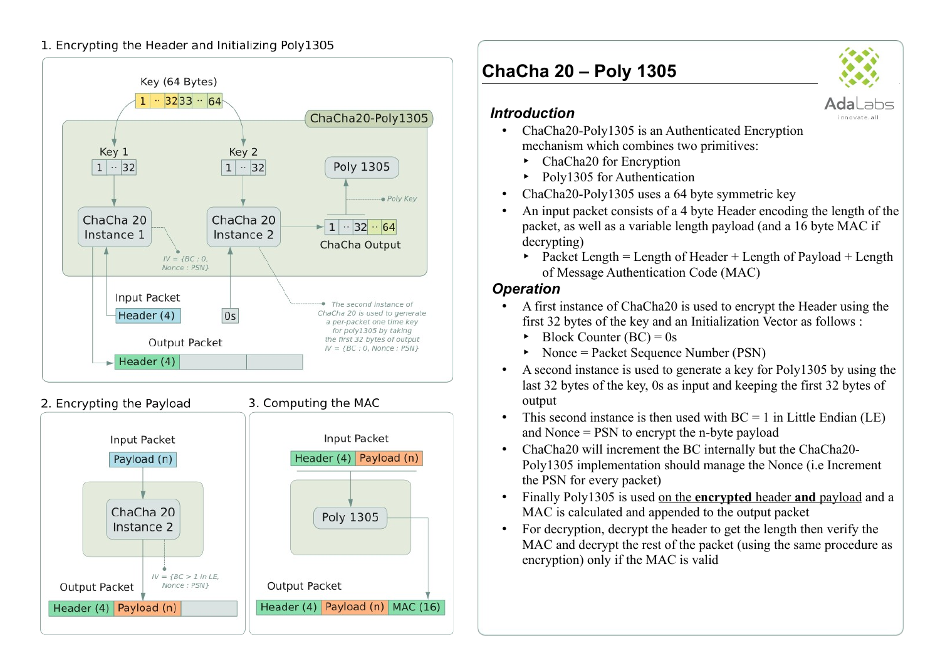### 1. Encrypting the Header and Initializing Poly1305



2. Encrypting the Payload



3. Computing the MAC

# **ChaCha 20 – Poly 1305**



### *Introduction*

- ChaCha20-Poly1305 is an Authenticated Encryption mechanism which combines two primitives:
	- ‣ ChaCha20 for Encryption
	- Poly1305 for Authentication
- ChaCha20-Poly1305 uses a 64 byte symmetric key
- An input packet consists of a 4 byte Header encoding the length of the packet, as well as a variable length payload (and a 16 byte MAC if decrypting)
	- $\rightarrow$  Packet Length = Length of Header + Length of Payload + Length of Message Authentication Code (MAC)

## *Operation*

- A first instance of ChaCha20 is used to encrypt the Header using the first 32 bytes of the key and an Initialization Vector as follows :
	- $\rightarrow$  Block Counter (BC) = 0s
	- Nonce = Packet Sequence Number (PSN)
- A second instance is used to generate a key for Poly1305 by using the last 32 bytes of the key, 0s as input and keeping the first 32 bytes of output
- This second instance is then used with  $BC = 1$  in Little Endian (LE) and Nonce = PSN to encrypt the n-byte payload
- ChaCha20 will increment the BC internally but the ChaCha20- Poly1305 implementation should manage the Nonce (i.e Increment the PSN for every packet)
- Finally Poly1305 is used on the **encrypted** header **and** payload and a MAC is calculated and appended to the output packet
- For decryption, decrypt the header to get the length then verify the MAC and decrypt the rest of the packet (using the same procedure as encryption) only if the MAC is valid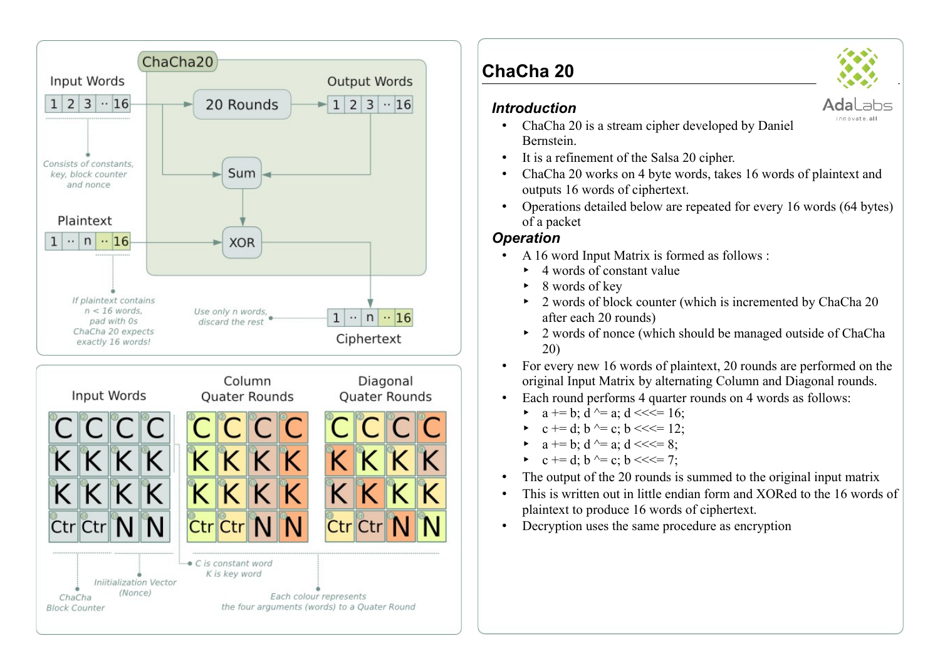

# **ChaCha 20**

### *Introduction*



innovate.all

- ChaCha 20 is a stream cipher developed by Daniel Bernstein.
- It is a refinement of the Salsa 20 cipher.
- ChaCha 20 works on 4 byte words, takes 16 words of plaintext and outputs 16 words of ciphertext.
- Operations detailed below are repeated for every 16 words (64 bytes) of a packet

# *Operation*

- A 16 word Input Matrix is formed as follows :
	- $\rightarrow$  4 words of constant value
	- 8 words of key
	- ‣ 2 words of block counter (which is incremented by ChaCha 20 after each 20 rounds)
	- 2 words of nonce (which should be managed outside of ChaCha 20)
- For every new 16 words of plaintext, 20 rounds are performed on the original Input Matrix by alternating Column and Diagonal rounds.
- Each round performs 4 quarter rounds on 4 words as follows:
	- $a == b$ ;  $d \sim a$ ;  $d \ll l = 16$ ;
	- $c \leftrightarrow d$ ; b  $\land = c$ ; b  $\iff$  12;
	- $a \neq b$ ;  $d \leq a$ ;  $d \leq l \leq 8$ ;
	- c += d; b  $\sim$  = c; b <<<= 7;
- The output of the 20 rounds is summed to the original input matrix
- This is written out in little endian form and XORed to the 16 words of plaintext to produce 16 words of ciphertext.
- Decryption uses the same procedure as encryption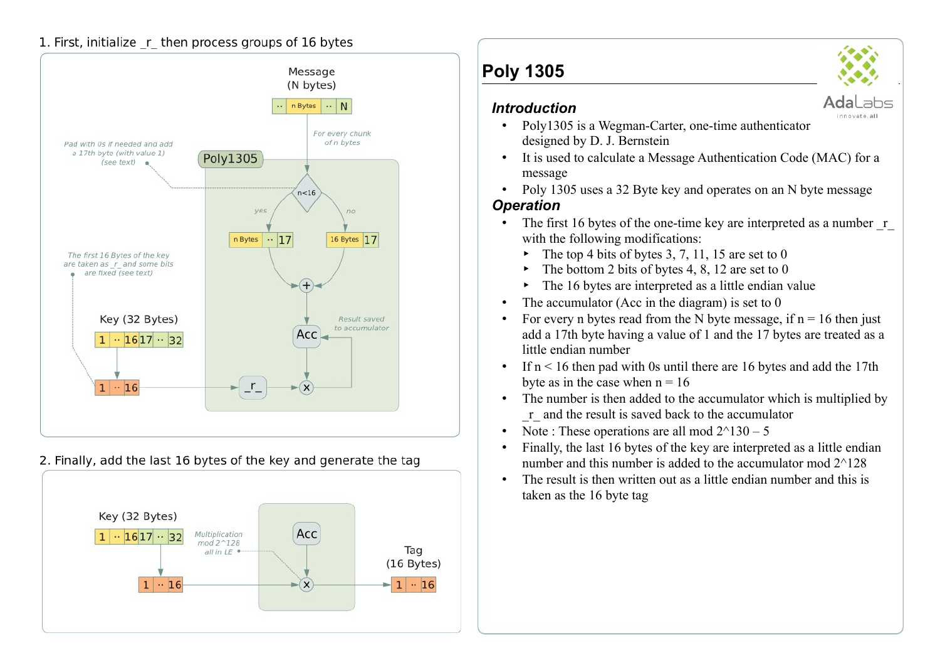#### 1. First, initialize r then process groups of 16 bytes



2. Finally, add the last 16 bytes of the key and generate the tag



# **Poly 1305**

#### *Introduction*



innovate.all

Adal

#### • Poly1305 is a Wegman-Carter, one-time authenticator designed by D. J. Bernstein

- It is used to calculate a Message Authentication Code (MAC) for a message
- Poly 1305 uses a 32 Byte key and operates on an N byte message

### *Operation*

- The first 16 bytes of the one-time key are interpreted as a number r with the following modifications:
	- The top 4 bits of bytes  $3, 7, 11, 15$  are set to 0
	- $\blacktriangleright$  The bottom 2 bits of bytes 4, 8, 12 are set to 0
	- $\blacktriangleright$  The 16 bytes are interpreted as a little endian value
- The accumulator (Acc in the diagram) is set to  $0$
- For every n bytes read from the N byte message, if  $n = 16$  then just add a 17th byte having a value of 1 and the 17 bytes are treated as a little endian number
- If  $n < 16$  then pad with 0s until there are 16 bytes and add the 17th byte as in the case when  $n = 16$
- The number is then added to the accumulator which is multiplied by \_r\_ and the result is saved back to the accumulator
- Note : These operations are all mod  $2^{\wedge}130 5$
- Finally, the last 16 bytes of the key are interpreted as a little endian number and this number is added to the accumulator mod 2^128
- The result is then written out as a little endian number and this is taken as the 16 byte tag